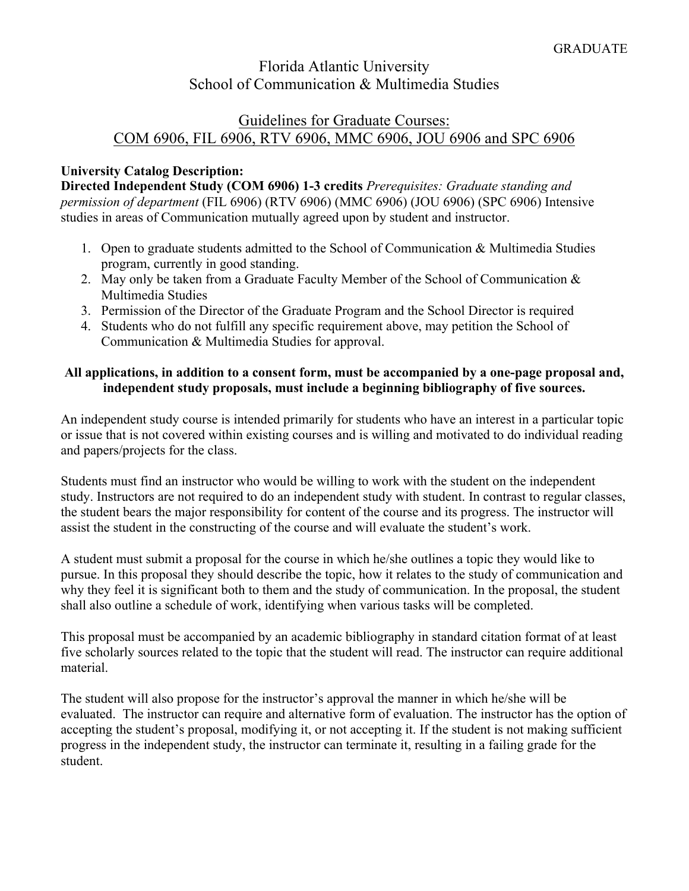# Florida Atlantic University School of Communication & Multimedia Studies

### Guidelines for Graduate Courses: COM 6906, FIL 6906, RTV 6906, MMC 6906, JOU 6906 and SPC 6906

### **University Catalog Description:**

**Directed Independent Study (COM 6906) 1-3 credits** *Prerequisites: Graduate standing and permission of department* (FIL 6906) (RTV 6906) (MMC 6906) (JOU 6906) (SPC 6906) Intensive studies in areas of Communication mutually agreed upon by student and instructor.

- 1. Open to graduate students admitted to the School of Communication & Multimedia Studies program, currently in good standing.
- 2. May only be taken from a Graduate Faculty Member of the School of Communication & Multimedia Studies
- 3. Permission of the Director of the Graduate Program and the School Director is required
- 4. Students who do not fulfill any specific requirement above, may petition the School of Communication & Multimedia Studies for approval.

#### **All applications, in addition to a consent form, must be accompanied by a one-page proposal and, independent study proposals, must include a beginning bibliography of five sources.**

An independent study course is intended primarily for students who have an interest in a particular topic or issue that is not covered within existing courses and is willing and motivated to do individual reading and papers/projects for the class.

Students must find an instructor who would be willing to work with the student on the independent study. Instructors are not required to do an independent study with student. In contrast to regular classes, the student bears the major responsibility for content of the course and its progress. The instructor will assist the student in the constructing of the course and will evaluate the student's work.

A student must submit a proposal for the course in which he/she outlines a topic they would like to pursue. In this proposal they should describe the topic, how it relates to the study of communication and why they feel it is significant both to them and the study of communication. In the proposal, the student shall also outline a schedule of work, identifying when various tasks will be completed.

This proposal must be accompanied by an academic bibliography in standard citation format of at least five scholarly sources related to the topic that the student will read. The instructor can require additional material.

The student will also propose for the instructor's approval the manner in which he/she will be evaluated. The instructor can require and alternative form of evaluation. The instructor has the option of accepting the student's proposal, modifying it, or not accepting it. If the student is not making sufficient progress in the independent study, the instructor can terminate it, resulting in a failing grade for the student.